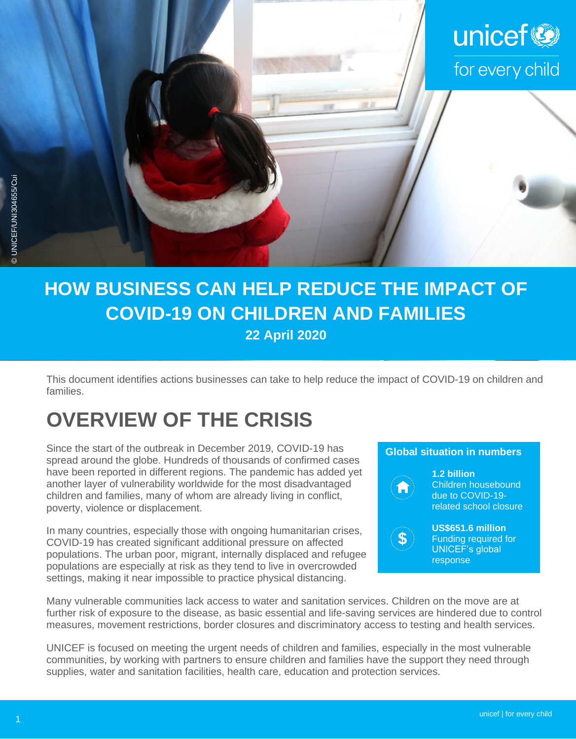

## **HOW BUSINESS CAN HELP REDUCE THE IMPACT OF COVID-19 ON CHILDREN AND FAMILIES 22 April 2020**

This document identifies actions businesses can take to help reduce the impact of COVID-19 on children and families.

# **OVERVIEW OF THE CRISIS**

Since the start of the outbreak in December 2019, COVID-19 has spread around the globe. Hundreds of thousands of confirmed cases have been reported in different regions. The pandemic has added yet another layer of vulnerability worldwide for the most disadvantaged children and families, many of whom are already living in conflict, poverty, violence or displacement.

In many countries, especially those with ongoing humanitarian crises, COVID-19 has created significant additional pressure on affected populations. The urban poor, migrant, internally displaced and refugee populations are especially at risk as they tend to live in overcrowded settings, making it near impossible to practice physical distancing.

### **Global situation in numbers**



**1.2 billion**  Children housebound due to COVID-19 related school closure

\$

**US\$651.6 million**  Funding required for UNICEF's global response

Many vulnerable communities lack access to water and sanitation services. Children on the move are at further risk of exposure to the disease, as basic essential and life-saving services are hindered due to control measures, movement restrictions, border closures and discriminatory access to testing and health services.

UNICEF is focused on meeting the urgent needs of children and families, especially in the most vulnerable communities, by working with partners to ensure children and families have the support they need through supplies, water and sanitation facilities, health care, education and protection services.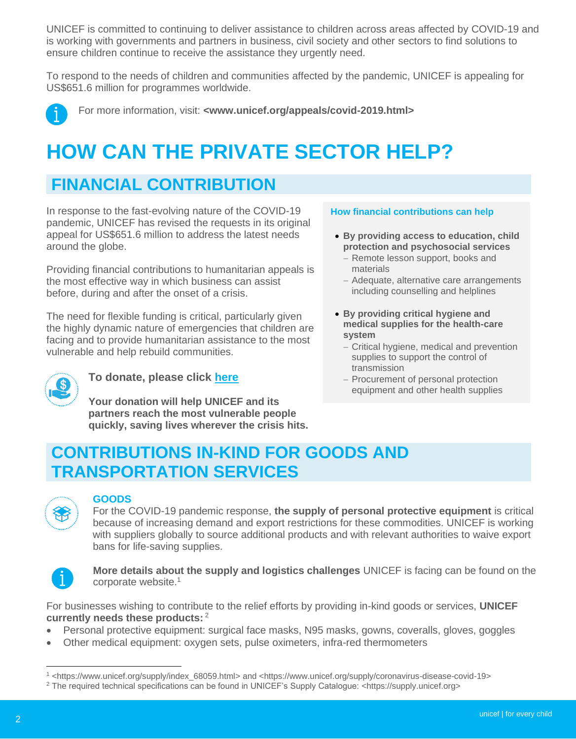UNICEF is committed to continuing to deliver assistance to children across areas affected by COVID-19 and is working with governments and partners in business, civil society and other sectors to find solutions to ensure children continue to receive the assistance they urgently need.

To respond to the needs of children and communities affected by the pandemic, UNICEF is appealing for US\$651.6 million for programmes worldwide.



For more information, visit: **[<www.unicef.org/appeals/covid-2019.html>](http://www.unicef.org/appeals/covid-2019.html)**

# **HOW CAN THE PRIVATE SECTOR HELP?**

## **FINANCIAL CONTRIBUTION**

In response to the fast-evolving nature of the COVID-19 pandemic, UNICEF has revised the requests in its original appeal for US\$651.6 million to address the latest needs around the globe.

Providing financial contributions to humanitarian appeals is the most effective way in which business can assist before, during and after the onset of a crisis.

The need for flexible funding is critical, particularly given the highly dynamic nature of emergencies that children are facing and to provide humanitarian assistance to the most vulnerable and help rebuild communities.



### **To donate, please click [here](https://www.unicef.org/appeals/covid-2019.html)**

**Your donation will help UNICEF and its partners reach the most vulnerable people quickly, saving lives wherever the crisis hits.**

#### **How financial contributions can help**

- **By providing access to education, child protection and psychosocial services**
	- − Remote lesson support, books and materials
	- − Adequate, alternative care arrangements including counselling and helplines
- **By providing critical hygiene and medical supplies for the health-care system**
	- − Critical hygiene, medical and prevention supplies to support the control of transmission
	- − Procurement of personal protection equipment and other health supplies

## **CONTRIBUTIONS IN-KIND FOR GOODS AND TRANSPORTATION SERVICES**



#### **GOODS**

For the COVID-19 pandemic response, **the supply of personal protective equipment** is critical because of increasing demand and export restrictions for these commodities. UNICEF is working with suppliers globally to source additional products and with relevant authorities to waive export bans for life-saving supplies.



 **More details about the supply and logistics challenges** UNICEF is facing can be found on the corporate website.<sup>1</sup>

For businesses wishing to contribute to the relief efforts by providing in-kind goods or services, **UNICEF currently needs these products:** <sup>2</sup>

- Personal protective equipment: surgical face masks, N95 masks, gowns, coveralls, gloves, goggles
- Other medical equipment: oxygen sets, pulse oximeters, infra-red thermometers

<sup>1</sup> [<https://www.unicef.org/supply/index\\_68059.html>](https://www.unicef.org/supply/index_68059.html) and [<https://www.unicef.org/supply/coronavirus-disease-covid-19>](https://www.unicef.org/supply/coronavirus-disease-covid-19)

<sup>2</sup> The required technical specifications can be found in UNICEF's Supply Catalogue: <https://supply.unicef.org>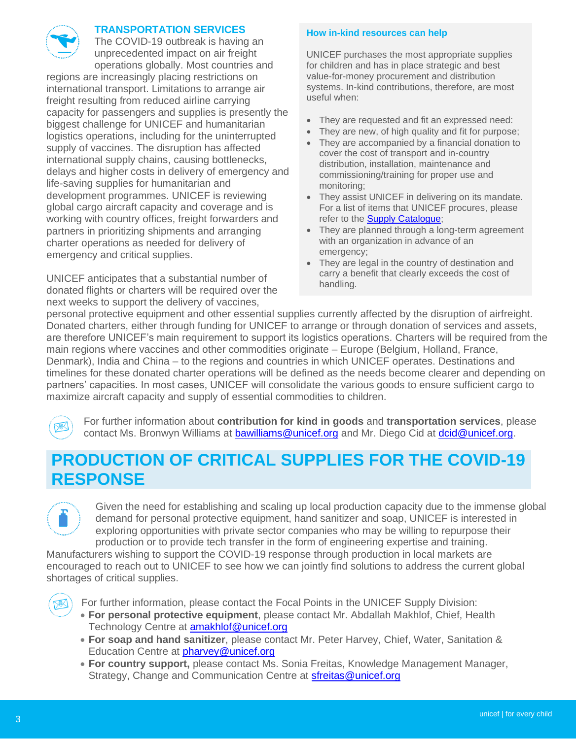

### **TRANSPORTATION SERVICES**

The COVID-19 outbreak is having an unprecedented impact on air freight operations globally. Most countries and

regions are increasingly placing restrictions on international transport. Limitations to arrange air freight resulting from reduced airline carrying capacity for passengers and supplies is presently the biggest challenge for UNICEF and humanitarian logistics operations, including for the uninterrupted supply of vaccines. The disruption has affected international supply chains, causing bottlenecks, delays and higher costs in delivery of emergency and life-saving supplies for humanitarian and development programmes. UNICEF is reviewing global cargo aircraft capacity and coverage and is working with country offices, freight forwarders and partners in prioritizing shipments and arranging charter operations as needed for delivery of emergency and critical supplies.

UNICEF anticipates that a substantial number of donated flights or charters will be required over the next weeks to support the delivery of vaccines,

#### **How in-kind resources can help**

UNICEF purchases the most appropriate supplies for children and has in place strategic and best value-for-money procurement and distribution systems. In-kind contributions, therefore, are most useful when:

- They are requested and fit an expressed need:
- They are new, of high quality and fit for purpose;
- They are accompanied by a financial donation to cover the cost of transport and in-country distribution, installation, maintenance and commissioning/training for proper use and monitoring;
- They assist UNICEF in delivering on its mandate. For a list of items that UNICEF procures, please refer to the [Supply Catalogue;](https://supply.unicef.org/)
- They are planned through a long-term agreement with an organization in advance of an emergency;
- They are legal in the country of destination and carry a benefit that clearly exceeds the cost of handling.

personal protective equipment and other essential supplies currently affected by the disruption of airfreight. Donated charters, either through funding for UNICEF to arrange or through donation of services and assets, are therefore UNICEF's main requirement to support its logistics operations. Charters will be required from the main regions where vaccines and other commodities originate – Europe (Belgium, Holland, France, Denmark), India and China – to the regions and countries in which UNICEF operates. Destinations and timelines for these donated charter operations will be defined as the needs become clearer and depending on partners' capacities. In most cases, UNICEF will consolidate the various goods to ensure sufficient cargo to maximize aircraft capacity and supply of essential commodities to children.

For further information about **contribution for kind in goods** and **transportation services**, please contact Ms. Bronwyn Williams at **bawilliams@unicef.org** and Mr. Diego Cid at *dcid@unicef.org.* 

## **PRODUCTION OF CRITICAL SUPPLIES FOR THE COVID-19 RESPONSE**



Given the need for establishing and scaling up local production capacity due to the immense global demand for personal protective equipment, hand sanitizer and soap, UNICEF is interested in exploring opportunities with private sector companies who may be willing to repurpose their production or to provide tech transfer in the form of engineering expertise and training.

Manufacturers wishing to support the COVID-19 response through production in local markets are encouraged to reach out to UNICEF to see how we can jointly find solutions to address the current global shortages of critical supplies.



- **For personal protective equipment**, please contact Mr. Abdallah Makhlof, Chief, Health Technology Centre at [amakhlof@unicef.org](mailto:amakhlof@unicef.org)
- **For soap and hand sanitizer**, please contact Mr. Peter Harvey, Chief, Water, Sanitation & Education Centre at **[pharvey@unicef.org](mailto:pharvey@unicef.org)**
- **For country support,** please contact Ms. Sonia Freitas, Knowledge Management Manager, Strategy, Change and Communication Centre at **[sfreitas@unicef.org](mailto:sfreitas@unicef.org)**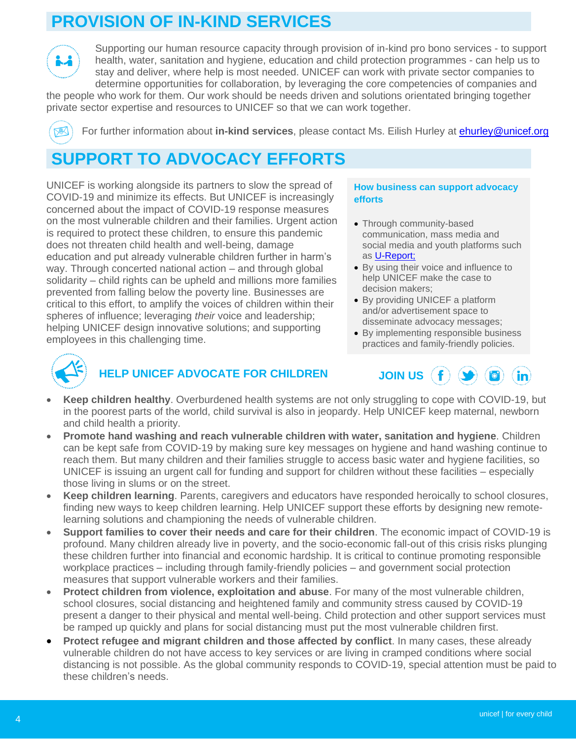## **PROVISION OF IN-KIND SERVICES**



Supporting our human resource capacity through provision of in-kind pro bono services - to support health, water, sanitation and hygiene, education and child protection programmes - can help us to stay and deliver, where help is most needed. UNICEF can work with private sector companies to determine opportunities for collaboration, by leveraging the core competencies of companies and

the people who work for them. Our work should be needs driven and solutions orientated bringing together private sector expertise and resources to UNICEF so that we can work together.

For further information about **in-kind services**, please contact Ms. Eilish Hurley at [ehurley@unicef.org](mailto:ehurley@unicef.org)

## **SUPPORT TO ADVOCACY EFFORTS**

UNICEF is working alongside its partners to slow the spread of COVID-19 and minimize its effects. But UNICEF is increasingly concerned about the impact of COVID-19 response measures on the most vulnerable children and their families. Urgent action is required to protect these children, to ensure this pandemic does not threaten child health and well-being, damage education and put already vulnerable children further in harm's way. Through concerted national action – and through global solidarity – child rights can be upheld and millions more families prevented from falling below the poverty line. Businesses are critical to this effort, to amplify the voices of children within their spheres of influence; leveraging *their* voice and leadership; helping UNICEF design innovative solutions; and supporting employees in this challenging time.

#### **How business can support advocacy efforts**

- Through community-based communication, mass media and social media and youth platforms such as [U-Report;](https://ureport.in/about/)
- By using their voice and influence to help UNICEF make the case to decision makers;
- By providing UNICEF a platform and/or advertisement space to disseminate advocacy messages;
- By implementing responsible business practices and family-friendly policies.



### **HELP UNICEF ADVOCATE FOR CHILDREN**



- **Keep children healthy**. Overburdened health systems are not only struggling to cope with COVID-19, but in the poorest parts of the world, child survival is also in jeopardy. Help UNICEF keep maternal, newborn and child health a priority.
- **Promote hand washing and reach vulnerable children with water, sanitation and hygiene**. Children can be kept safe from COVID-19 by making sure key messages on hygiene and hand washing continue to reach them. But many children and their families struggle to access basic water and hygiene facilities, so UNICEF is issuing an urgent call for funding and support for children without these facilities – especially those living in slums or on the street.
- **Keep children learning**. Parents, caregivers and educators have responded heroically to school closures, finding new ways to keep children learning. Help UNICEF support these efforts by designing new remotelearning solutions and championing the needs of vulnerable children.
- **Support families to cover their needs and care for their children**. The economic impact of COVID-19 is profound. Many children already live in poverty, and the socio-economic fall-out of this crisis risks plunging these children further into financial and economic hardship. It is critical to continue promoting responsible workplace practices – including through family-friendly policies – and government social protection measures that support vulnerable workers and their families.
- **Protect children from violence, exploitation and abuse**. For many of the most vulnerable children, school closures, social distancing and heightened family and community stress caused by COVID-19 present a danger to their physical and mental well-being. Child protection and other support services must be ramped up quickly and plans for social distancing must put the most vulnerable children first.
- **Protect refugee and migrant children and those affected by conflict**. In many cases, these already vulnerable children do not have access to key services or are living in cramped conditions where social distancing is not possible. As the global community responds to COVID-19, special attention must be paid to these children's needs.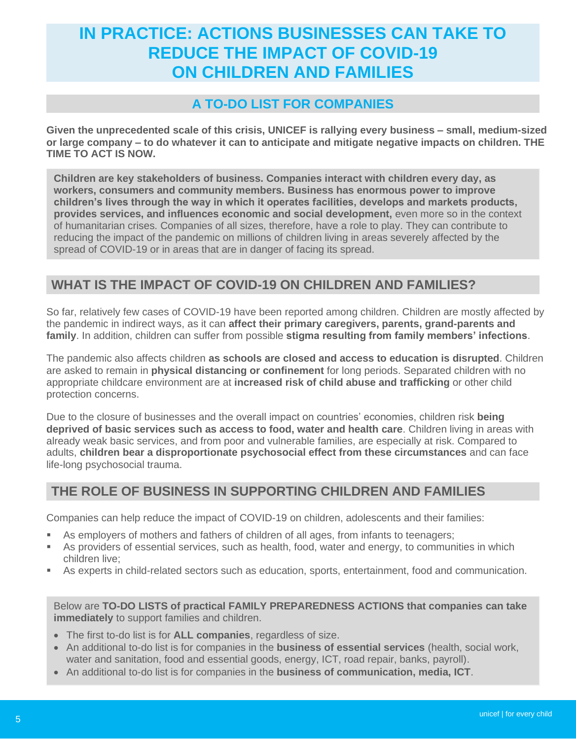## **IN PRACTICE: ACTIONS BUSINESSES CAN TAKE TO REDUCE THE IMPACT OF COVID-19 ON CHILDREN AND FAMILIES**

### **A TO-DO LIST FOR COMPANIES**

**Given the unprecedented scale of this crisis, UNICEF is rallying every business – small, medium-sized or large company – to do whatever it can to anticipate and mitigate negative impacts on children. THE TIME TO ACT IS NOW.**

**Children are key stakeholders of business. Companies interact with children every day, as workers, consumers and community members. Business has enormous power to improve children's lives through the way in which it operates facilities, develops and markets products, provides services, and influences economic and social development,** even more so in the context of humanitarian crises. Companies of all sizes, therefore, have a role to play. They can contribute to reducing the impact of the pandemic on millions of children living in areas severely affected by the spread of COVID-19 or in areas that are in danger of facing its spread.

### **WHAT IS THE IMPACT OF COVID-19 ON CHILDREN AND FAMILIES?**

So far, relatively few cases of COVID-19 have been reported among children. Children are mostly affected by the pandemic in indirect ways, as it can **affect their primary caregivers, parents, grand-parents and family**. In addition, children can suffer from possible **stigma resulting from family members' infections**.

The pandemic also affects children **as schools are closed and access to education is disrupted**. Children are asked to remain in **physical distancing or confinement** for long periods. Separated children with no appropriate childcare environment are at **increased risk of child abuse and trafficking** or other child protection concerns.

Due to the closure of businesses and the overall impact on countries' economies, children risk **being deprived of basic services such as access to food, water and health care**. Children living in areas with already weak basic services, and from poor and vulnerable families, are especially at risk. Compared to adults, **children bear a disproportionate psychosocial effect from these circumstances** and can face life-long psychosocial trauma.

### **THE ROLE OF BUSINESS IN SUPPORTING CHILDREN AND FAMILIES**

Companies can help reduce the impact of COVID-19 on children, adolescents and their families:

- As employers of mothers and fathers of children of all ages, from infants to teenagers;
- **EXECT** As providers of essential services, such as health, food, water and energy, to communities in which children live;
- **EXP** As experts in child-related sectors such as education, sports, entertainment, food and communication.

Below are **TO-DO LISTS of practical FAMILY PREPAREDNESS ACTIONS that companies can take immediately** to support families and children.

- The first to-do list is for **ALL companies**, regardless of size.
- An additional to-do list is for companies in the **business of essential services** (health, social work, water and sanitation, food and essential goods, energy, ICT, road repair, banks, payroll).
- An additional to-do list is for companies in the **business of communication, media, ICT**.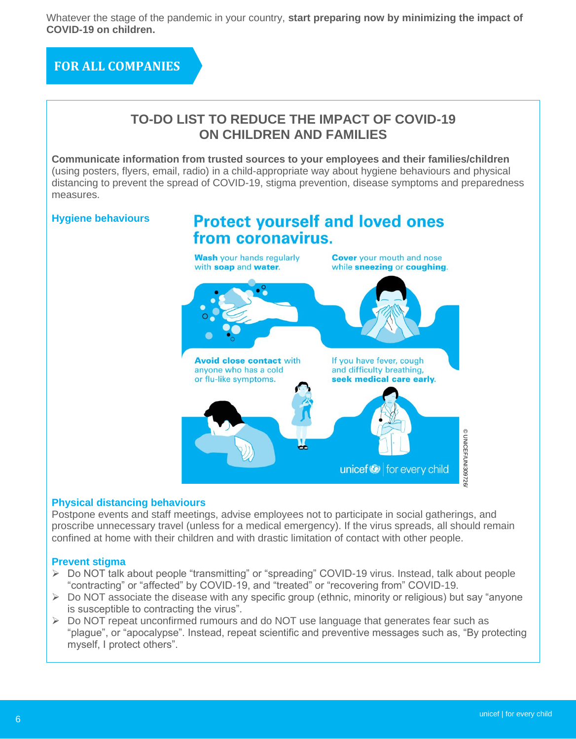Whatever the stage of the pandemic in your country, **start preparing now by minimizing the impact of COVID-19 on children.**

**FOR ALL COMPANIES**



### **Physical distancing behaviours**

Postpone events and staff meetings, advise employees not to participate in social gatherings, and proscribe unnecessary travel (unless for a medical emergency). If the virus spreads, all should remain confined at home with their children and with drastic limitation of contact with other people.

### **Prevent stigma**

- ➢ Do NOT talk about people "transmitting" or "spreading" COVID-19 virus. Instead, talk about people "contracting" or "affected" by COVID-19, and "treated" or "recovering from" COVID-19.
- ➢ Do NOT associate the disease with any specific group (ethnic, minority or religious) but say "anyone is susceptible to contracting the virus".
- ➢ Do NOT repeat unconfirmed rumours and do NOT use language that generates fear such as "plague", or "apocalypse". Instead, repeat scientific and preventive messages such as, "By protecting myself, I protect others".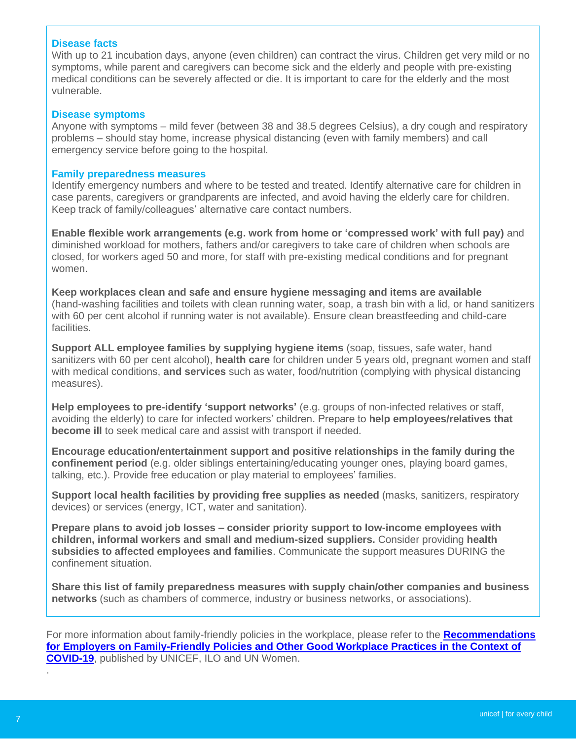### **Disease facts**

With up to 21 incubation days, anyone (even children) can contract the virus. Children get very mild or no symptoms, while parent and caregivers can become sick and the elderly and people with pre-existing medical conditions can be severely affected or die. It is important to care for the elderly and the most vulnerable.

#### **Disease symptoms**

Anyone with symptoms – mild fever (between 38 and 38.5 degrees Celsius), a dry cough and respiratory problems – should stay home, increase physical distancing (even with family members) and call emergency service before going to the hospital.

#### **Family preparedness measures**

Identify emergency numbers and where to be tested and treated. Identify alternative care for children in case parents, caregivers or grandparents are infected, and avoid having the elderly care for children. Keep track of family/colleagues' alternative care contact numbers.

**2. Enable flexible work arrangements (e.g. work from home or 'compressed work' with full pay)** and diminished workload for mothers, fathers and/or caregivers to take care of children when schools are closed, for workers aged 50 and more, for staff with pre-existing medical conditions and for pregnant women.

**3. Keep workplaces clean and safe and ensure hygiene messaging and items are available**  (hand-washing facilities and toilets with clean running water, soap, a trash bin with a lid, or hand sanitizers with 60 per cent alcohol if running water is not available). Ensure clean breastfeeding and child-care facilities.

**4. Support ALL employee families by supplying hygiene items** (soap, tissues, safe water, hand sanitizers with 60 per cent alcohol), **health care** for children under 5 years old, pregnant women and staff with medical conditions, **and services** such as water, food/nutrition (complying with physical distancing measures).

**5. Help employees to pre-identify 'support networks'** (e.g. groups of non-infected relatives or staff, avoiding the elderly) to care for infected workers' children. Prepare to **help employees/relatives that become ill** to seek medical care and assist with transport if needed.

**6. Encourage education/entertainment support and positive relationships in the family during the confinement period** (e.g. older siblings entertaining/educating younger ones, playing board games, talking, etc.). Provide free education or play material to employees' families.

**7. Support local health facilities by providing free supplies as needed** (masks, sanitizers, respiratory devices) or services (energy, ICT, water and sanitation).

**8. Prepare plans to avoid job losses – consider priority support to low-income employees with children, informal workers and small and medium-sized suppliers.** Consider providing **health subsidies to affected employees and families**. Communicate the support measures DURING the confinement situation.

**9. Share this list of family preparedness measures with supply chain/other companies and business networks** (such as chambers of commerce, industry or business networks, or associations).

For more information about family-friendly policies in the workplace, please refer to the **[Recommendations](https://www.unicef.org/press-releases/greater-support-needed-working-families-covid-19-takes-hold-unicef-and-ilo)  [for Employers on Family-Friendly Policies and Other Good Workplace Practices in the Context of](https://www.unicef.org/press-releases/greater-support-needed-working-families-covid-19-takes-hold-unicef-and-ilo)  [COVID-19](https://www.unicef.org/press-releases/greater-support-needed-working-families-covid-19-takes-hold-unicef-and-ilo)**, published by UNICEF, ILO and UN Women.

.